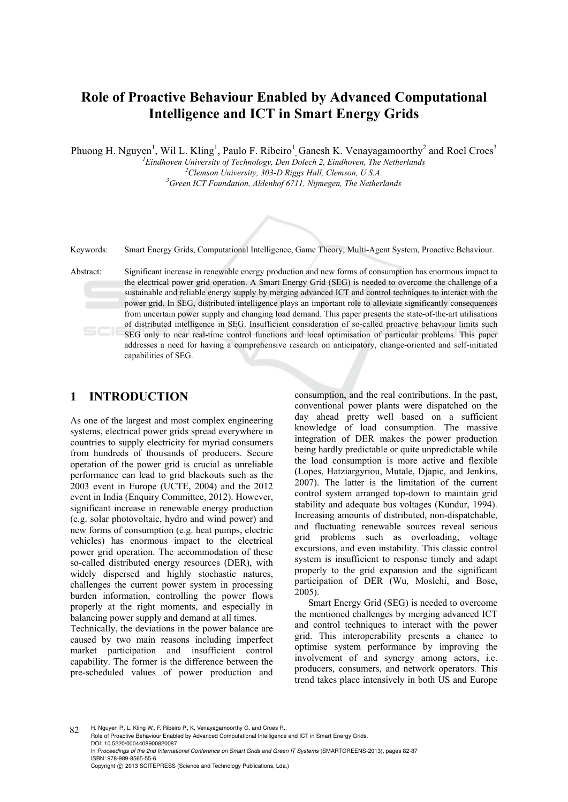# **Role of Proactive Behaviour Enabled by Advanced Computational Intelligence and ICT in Smart Energy Grids**

Phuong H. Nguyen<sup>1</sup>, Wil L. Kling<sup>1</sup>, Paulo F. Ribeiro<sup>1</sup>, Ganesh K. Venayagamoorthy<sup>2</sup> and Roel Croes<sup>3</sup>

<sup>1</sup> Eindhoven University of Technology, Den Dolech 2, Eindhoven, The Netherlands <sup>2</sup> Clamson University 202 D Piece Hall Clamson U.S. A <sup>2</sup> Clemson University, 303-D Riggs Hall, Clemson, U.S.A. *Green ICT Foundation, Aldenhof 6711, Nijmegen, The Netherlands* 



Keywords: Smart Energy Grids, Computational Intelligence, Game Theory, Multi-Agent System, Proactive Behaviour.

Abstract: Significant increase in renewable energy production and new forms of consumption has enormous impact to the electrical power grid operation. A Smart Energy Grid (SEG) is needed to overcome the challenge of a sustainable and reliable energy supply by merging advanced ICT and control techniques to interact with the power grid. In SEG, distributed intelligence plays an important role to alleviate significantly consequences from uncertain power supply and changing load demand. This paper presents the state-of-the-art utilisations of distributed intelligence in SEG. Insufficient consideration of so-called proactive behaviour limits such SEG only to near real-time control functions and local optimisation of particular problems. This paper addresses a need for having a comprehensive research on anticipatory, change-oriented and self-initiated capabilities of SEG.

# **1 INTRODUCTION**

As one of the largest and most complex engineering systems, electrical power grids spread everywhere in countries to supply electricity for myriad consumers from hundreds of thousands of producers. Secure operation of the power grid is crucial as unreliable performance can lead to grid blackouts such as the 2003 event in Europe (UCTE, 2004) and the 2012 event in India (Enquiry Committee, 2012). However, significant increase in renewable energy production (e.g. solar photovoltaic, hydro and wind power) and new forms of consumption (e.g. heat pumps, electric vehicles) has enormous impact to the electrical power grid operation. The accommodation of these so-called distributed energy resources (DER), with widely dispersed and highly stochastic natures, challenges the current power system in processing burden information, controlling the power flows properly at the right moments, and especially in balancing power supply and demand at all times.

Technically, the deviations in the power balance are caused by two main reasons including imperfect market participation and insufficient control capability. The former is the difference between the pre-scheduled values of power production and

consumption, and the real contributions. In the past, conventional power plants were dispatched on the day ahead pretty well based on a sufficient knowledge of load consumption. The massive integration of DER makes the power production being hardly predictable or quite unpredictable while the load consumption is more active and flexible (Lopes, Hatziargyriou, Mutale, Djapic, and Jenkins, 2007). The latter is the limitation of the current control system arranged top-down to maintain grid stability and adequate bus voltages (Kundur, 1994). Increasing amounts of distributed, non-dispatchable, and fluctuating renewable sources reveal serious grid problems such as overloading, voltage excursions, and even instability. This classic control system is insufficient to response timely and adapt properly to the grid expansion and the significant participation of DER (Wu, Moslehi, and Bose, 2005).

Smart Energy Grid (SEG) is needed to overcome the mentioned challenges by merging advanced ICT and control techniques to interact with the power grid. This interoperability presents a chance to optimise system performance by improving the involvement of and synergy among actors, i.e. producers, consumers, and network operators. This trend takes place intensively in both US and Europe

82 H. Nguyen P., L. Kling W., F. Ribeiro P., K. Venayagamoorthy G. and Croes R.. Role of Proactive Behaviour Enabled by Advanced Computational Intelligence and ICT in Smart Energy Grids. DOI: 10.5220/0004408900820087 In *Proceedings of the 2nd International Conference on Smart Grids and Green IT Systems* (SMARTGREENS-2013), pages 82-87 ISBN: 978-989-8565-55-6 Copyright © 2013 SCITEPRESS (Science and Technology Publications, Lda.)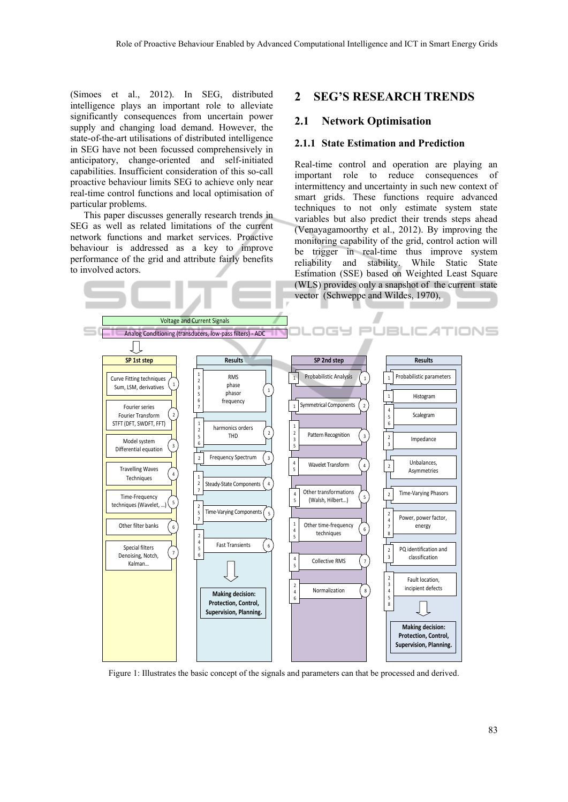(Simoes et al., 2012). In SEG, distributed intelligence plays an important role to alleviate significantly consequences from uncertain power supply and changing load demand. However, the state-of-the-art utilisations of distributed intelligence in SEG have not been focussed comprehensively in anticipatory, change-oriented and self-initiated capabilities. Insufficient consideration of this so-call proactive behaviour limits SEG to achieve only near real-time control functions and local optimisation of particular problems.

This paper discusses generally research trends in SEG as well as related limitations of the current network functions and market services. Proactive behaviour is addressed as a key to improve performance of the grid and attribute fairly benefits to involved actors.

### **2 SEG'S RESEARCH TRENDS**

#### **2.1 Network Optimisation**

#### **2.1.1 State Estimation and Prediction**

Real-time control and operation are playing an important role to reduce consequences of intermittency and uncertainty in such new context of smart grids. These functions require advanced techniques to not only estimate system state variables but also predict their trends steps ahead (Venayagamoorthy et al., 2012). By improving the monitoring capability of the grid, control action will be trigger in real-time thus improve system reliability and stability. While Static State Estimation (SSE) based on Weighted Least Square (WLS) provides only a snapshot of the current state vector (Schweppe and Wildes, 1970),



Figure 1: Illustrates the basic concept of the signals and parameters can that be processed and derived.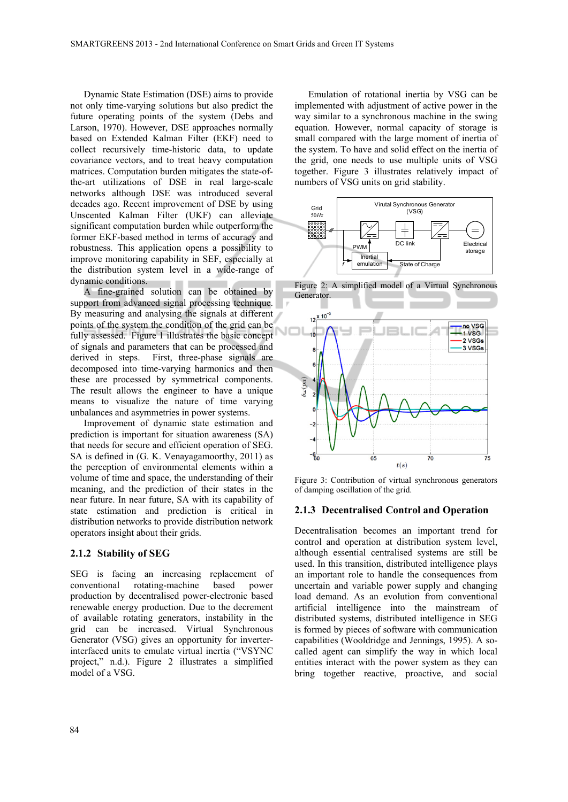Dynamic State Estimation (DSE) aims to provide not only time-varying solutions but also predict the future operating points of the system (Debs and Larson, 1970). However, DSE approaches normally based on Extended Kalman Filter (EKF) need to collect recursively time-historic data, to update covariance vectors, and to treat heavy computation matrices. Computation burden mitigates the state-ofthe-art utilizations of DSE in real large-scale networks although DSE was introduced several decades ago. Recent improvement of DSE by using Unscented Kalman Filter (UKF) can alleviate significant computation burden while outperform the former EKF-based method in terms of accuracy and robustness. This application opens a possibility to improve monitoring capability in SEF, especially at the distribution system level in a wide-range of dynamic conditions.

A fine-grained solution can be obtained by support from advanced signal processing technique. By measuring and analysing the signals at different points of the system the condition of the grid can be fully assessed. Figure 1 illustrates the basic concept of signals and parameters that can be processed and derived in steps. First, three-phase signals are decomposed into time-varying harmonics and then these are processed by symmetrical components. The result allows the engineer to have a unique means to visualize the nature of time varying unbalances and asymmetries in power systems.

Improvement of dynamic state estimation and prediction is important for situation awareness (SA) that needs for secure and efficient operation of SEG. SA is defined in (G. K. Venayagamoorthy, 2011) as the perception of environmental elements within a volume of time and space, the understanding of their meaning, and the prediction of their states in the near future. In near future, SA with its capability of state estimation and prediction is critical in distribution networks to provide distribution network operators insight about their grids.

#### **2.1.2 Stability of SEG**

SEG is facing an increasing replacement of conventional rotating-machine based power production by decentralised power-electronic based renewable energy production. Due to the decrement of available rotating generators, instability in the grid can be increased. Virtual Synchronous Generator (VSG) gives an opportunity for inverterinterfaced units to emulate virtual inertia ("VSYNC project," n.d.). Figure 2 illustrates a simplified model of a VSG.

Emulation of rotational inertia by VSG can be implemented with adjustment of active power in the way similar to a synchronous machine in the swing equation. However, normal capacity of storage is small compared with the large moment of inertia of the system. To have and solid effect on the inertia of the grid, one needs to use multiple units of VSG together. Figure 3 illustrates relatively impact of numbers of VSG units on grid stability.



Figure 2: A simplified model of a Virtual Synchronous Generator.



Figure 3: Contribution of virtual synchronous generators of damping oscillation of the grid.

#### **2.1.3 Decentralised Control and Operation**

Decentralisation becomes an important trend for control and operation at distribution system level, although essential centralised systems are still be used. In this transition, distributed intelligence plays an important role to handle the consequences from uncertain and variable power supply and changing load demand. As an evolution from conventional artificial intelligence into the mainstream of distributed systems, distributed intelligence in SEG is formed by pieces of software with communication capabilities (Wooldridge and Jennings, 1995). A socalled agent can simplify the way in which local entities interact with the power system as they can bring together reactive, proactive, and social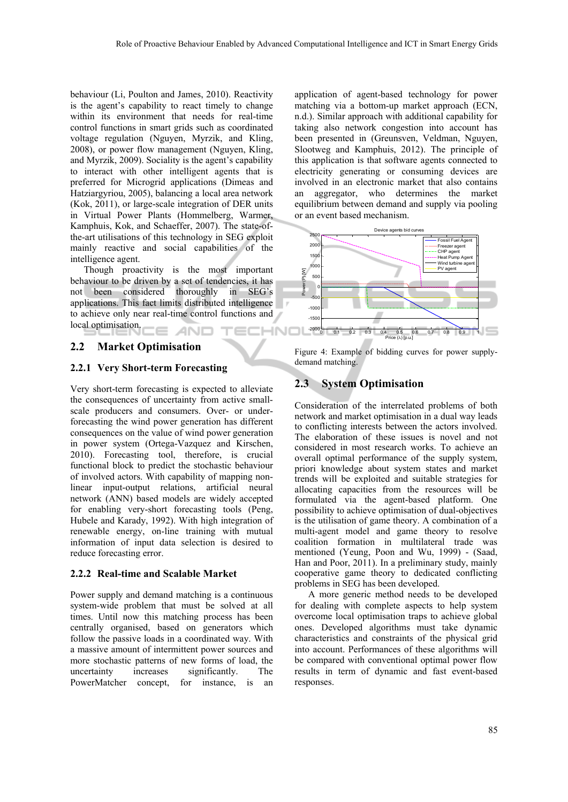behaviour (Li, Poulton and James, 2010). Reactivity is the agent's capability to react timely to change within its environment that needs for real-time control functions in smart grids such as coordinated voltage regulation (Nguyen, Myrzik, and Kling, 2008), or power flow management (Nguyen, Kling, and Myrzik, 2009). Sociality is the agent's capability to interact with other intelligent agents that is preferred for Microgrid applications (Dimeas and Hatziargyriou, 2005), balancing a local area network (Kok, 2011), or large-scale integration of DER units in Virtual Power Plants (Hommelberg, Warmer, Kamphuis, Kok, and Schaeffer, 2007). The state-ofthe-art utilisations of this technology in SEG exploit mainly reactive and social capabilities of the intelligence agent.

Though proactivity is the most important behaviour to be driven by a set of tendencies, it has not been considered thoroughly in SEG's applications. This fact limits distributed intelligence to achieve only near real-time control functions and local optimisation. HNC

### **2.2 Market Optimisation**

#### **2.2.1 Very Short-term Forecasting**

Very short-term forecasting is expected to alleviate the consequences of uncertainty from active smallscale producers and consumers. Over- or underforecasting the wind power generation has different consequences on the value of wind power generation in power system (Ortega-Vazquez and Kirschen, 2010). Forecasting tool, therefore, is crucial functional block to predict the stochastic behaviour of involved actors. With capability of mapping nonlinear input-output relations, artificial neural network (ANN) based models are widely accepted for enabling very-short forecasting tools (Peng, Hubele and Karady, 1992). With high integration of renewable energy, on-line training with mutual information of input data selection is desired to reduce forecasting error.

#### **2.2.2 Real-time and Scalable Market**

Power supply and demand matching is a continuous system-wide problem that must be solved at all times. Until now this matching process has been centrally organised, based on generators which follow the passive loads in a coordinated way. With a massive amount of intermittent power sources and more stochastic patterns of new forms of load, the uncertainty increases significantly. The PowerMatcher concept, for instance, is an

application of agent-based technology for power matching via a bottom-up market approach (ECN, n.d.). Similar approach with additional capability for taking also network congestion into account has been presented in (Greunsven, Veldman, Nguyen, Slootweg and Kamphuis, 2012). The principle of this application is that software agents connected to electricity generating or consuming devices are involved in an electronic market that also contains an aggregator, who determines the market equilibrium between demand and supply via pooling or an event based mechanism.



Figure 4: Example of bidding curves for power supplydemand matching.

# **2.3 System Optimisation**

Consideration of the interrelated problems of both network and market optimisation in a dual way leads to conflicting interests between the actors involved. The elaboration of these issues is novel and not considered in most research works. To achieve an overall optimal performance of the supply system, priori knowledge about system states and market trends will be exploited and suitable strategies for allocating capacities from the resources will be formulated via the agent-based platform. One possibility to achieve optimisation of dual-objectives is the utilisation of game theory. A combination of a multi-agent model and game theory to resolve coalition formation in multilateral trade was mentioned (Yeung, Poon and Wu, 1999) - (Saad, Han and Poor, 2011). In a preliminary study, mainly cooperative game theory to dedicated conflicting problems in SEG has been developed.

A more generic method needs to be developed for dealing with complete aspects to help system overcome local optimisation traps to achieve global ones. Developed algorithms must take dynamic characteristics and constraints of the physical grid into account. Performances of these algorithms will be compared with conventional optimal power flow results in term of dynamic and fast event-based responses.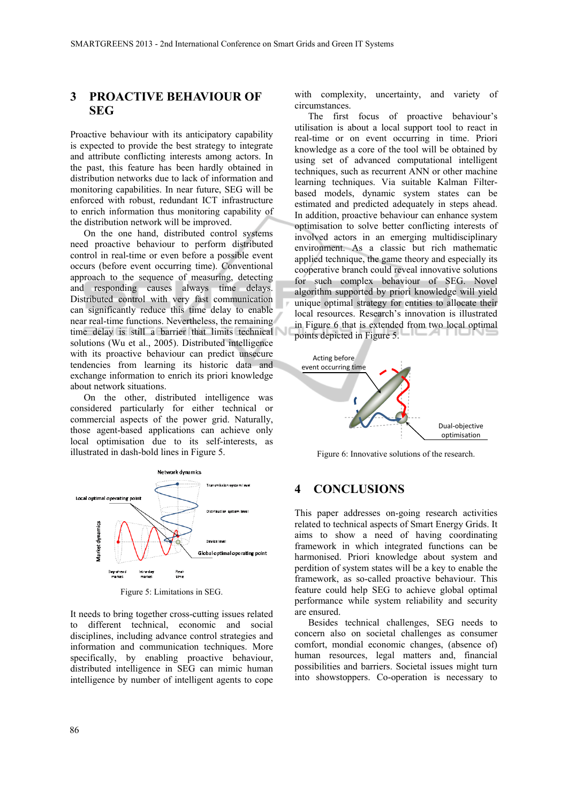## **3 PROACTIVE BEHAVIOUR OF SEG**

Proactive behaviour with its anticipatory capability is expected to provide the best strategy to integrate and attribute conflicting interests among actors. In the past, this feature has been hardly obtained in distribution networks due to lack of information and monitoring capabilities. In near future, SEG will be enforced with robust, redundant ICT infrastructure to enrich information thus monitoring capability of the distribution network will be improved.

On the one hand, distributed control systems need proactive behaviour to perform distributed control in real-time or even before a possible event occurs (before event occurring time). Conventional approach to the sequence of measuring, detecting and responding causes always time delays. Distributed control with very fast communication can significantly reduce this time delay to enable near real-time functions. Nevertheless, the remaining time delay is still a barrier that limits technical solutions (Wu et al., 2005). Distributed intelligence with its proactive behaviour can predict unsecure tendencies from learning its historic data and exchange information to enrich its priori knowledge about network situations.

On the other, distributed intelligence was considered particularly for either technical or commercial aspects of the power grid. Naturally, those agent-based applications can achieve only local optimisation due to its self-interests, as illustrated in dash-bold lines in Figure 5.



Figure 5: Limitations in SEG.

It needs to bring together cross-cutting issues related to different technical, economic and social disciplines, including advance control strategies and information and communication techniques. More specifically, by enabling proactive behaviour, distributed intelligence in SEG can mimic human intelligence by number of intelligent agents to cope

with complexity, uncertainty, and variety of circumstances.

The first focus of proactive behaviour's utilisation is about a local support tool to react in real-time or on event occurring in time. Priori knowledge as a core of the tool will be obtained by using set of advanced computational intelligent techniques, such as recurrent ANN or other machine learning techniques. Via suitable Kalman Filterbased models, dynamic system states can be estimated and predicted adequately in steps ahead. In addition, proactive behaviour can enhance system optimisation to solve better conflicting interests of involved actors in an emerging multidisciplinary environment. As a classic but rich mathematic applied technique, the game theory and especially its cooperative branch could reveal innovative solutions for such complex behaviour of SEG. Novel algorithm supported by priori knowledge will yield unique optimal strategy for entities to allocate their local resources. Research's innovation is illustrated in Figure 6 that is extended from two local optimal points depicted in Figure 5.



Figure 6: Innovative solutions of the research.

### **4 CONCLUSIONS**

This paper addresses on-going research activities related to technical aspects of Smart Energy Grids. It aims to show a need of having coordinating framework in which integrated functions can be harmonised. Priori knowledge about system and perdition of system states will be a key to enable the framework, as so-called proactive behaviour. This feature could help SEG to achieve global optimal performance while system reliability and security are ensured.

Besides technical challenges, SEG needs to concern also on societal challenges as consumer comfort, mondial economic changes, (absence of) human resources, legal matters and, financial possibilities and barriers. Societal issues might turn into showstoppers. Co-operation is necessary to